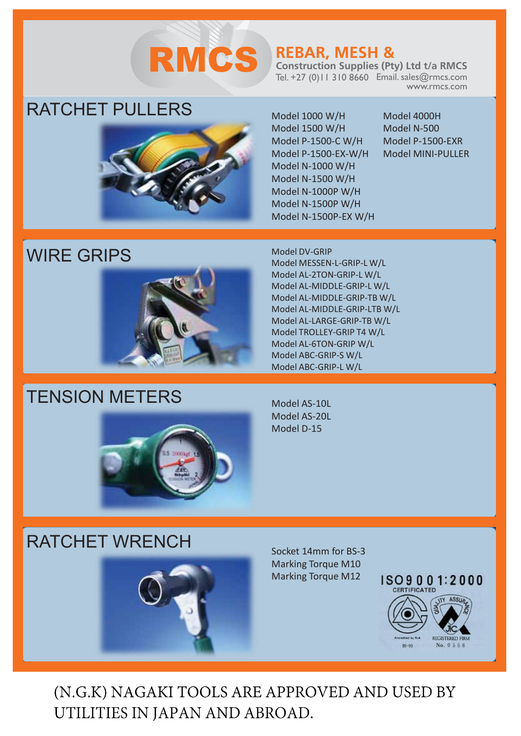# **NAGAKI TOOL SECONDED REBAR, MESH & Construction Supplies (Pty) Ltd t/a RMCS**<br>Tel. +27 (0)11 310 8660 Email. sales@rmcs.com

**REBAR, MESH &** <br>Construction Supplies (Pty) Ltd t/a RMCS Tel. +27 (0)11 310 8660 Email. sales@rmcs.com www.rmcs.com

## RATCHET PULLERS



Model 1000 W/H Model 1500 W/H Model P-1500-C W/H Model P-1500-EX-W/H Model N-1000 W/H Model N-1500 W/H Model N-1000P W/H Model N-1500P W/H Model N-1500P-EX W/H

Model 4000H Model N-500 Model P-1500-EXR Model MINI-PULLER

# WIRE GRIPS



# TENSION METERS



Model DV-GRIP Model MESSEN-L-GRIP-L W/L Model AL-2TON-GRIP-L W/L Model AL-MIDDLE-GRIP-L W/L Model AL-MIDDLE-GRIP-TB W/L Model AL-MIDDLE-GRIP-LTB W/L Model AL-LARGE-GRIP-TB W/L Model TROLLEY-GRIP T4 W/L Model AL-6TON-GRIP W/L Model ABC-GRIP-S W/L Model ABC-GRIP-L W/L

Model AS-10L Model AS-20L Model D-15

### RATCHET WRENCH



Socket 14mm for BS-3 Marking Torque M10 Marking Torque M12



(N.G.K) NAGAKI TOOLS ARE APPROVED AND USED BY UTILITIES IN JAPAN AND ABROAD.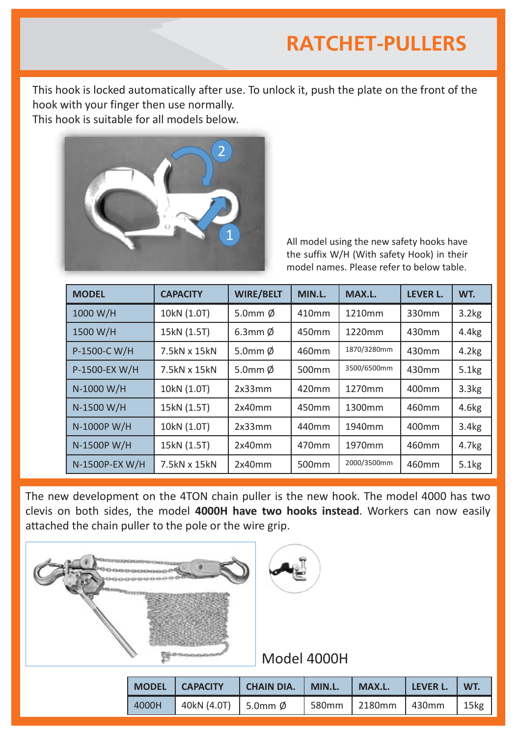# **NATCHET-PULLERS RATCHET-PULLERS**

This hook is locked automatically after use. To unlock it, push the plate on the front of the hook with your finger then use normally. This hook is suitable for all models below.



All model using the new safety hooks have the suffix W/H (With safety Hook) in their model names. Please refer to below table.

| <b>MODEL</b>   | <b>CAPACITY</b> | <b>WIRE/BELT</b> | MIN.L.            | MAX.L.      | <b>LEVER L.</b>   | WT.               |
|----------------|-----------------|------------------|-------------------|-------------|-------------------|-------------------|
| 1000 W/H       | 10kN (1.0T)     | 5.0mm $\phi$     | 410mm             | 1210mm      | 330mm             | 3.2kg             |
| 1500 W/H       | 15kN (1.5T)     | $6.3$ mm $\phi$  | 450mm             | 1220mm      | 430 <sub>mm</sub> | 4.4kg             |
| P-1500-C W/H   | 7.5kN x 15kN    | 5.0mm $\phi$     | 460mm             | 1870/3280mm | 430mm             | 4.2kg             |
| P-1500-EX W/H  | 7.5kN x 15kN    | 5.0mm $\phi$     | 500 <sub>mm</sub> | 3500/6500mm | 430mm             | 5.1kg             |
| N-1000 W/H     | 10kN (1.0T)     | 2x33mm           | 420mm             | 1270mm      | 400 <sub>mm</sub> | 3.3 <sub>kg</sub> |
| N-1500 W/H     | 15kN (1.5T)     | 2x40mm           | 450mm             | 1300mm      | 460mm             | 4.6kg             |
| N-1000P W/H    | 10kN (1.0T)     | 2x33mm           | 440mm             | 1940mm      | 400 <sub>mm</sub> | 3.4 <sub>kg</sub> |
| N-1500P W/H    | 15kN (1.5T)     | 2x40mm           | 470mm             | 1970mm      | 460mm             | 4.7kg             |
| N-1500P-EX W/H | 7.5kN x 15kN    | 2x40mm           | 500mm             | 2000/3500mm | 460mm             | 5.1kg             |

The new development on the 4TON chain puller is the new hook. The model 4000 has two clevis on both sides, the model **4000H have two hooks instead**. Workers can now easily attached the chain puller to the pole or the wire grip.





Model 4000H

| <b>MODEL</b> | <b>CAPACITY</b>               | <b>CHAIN DIA.</b> | MIN.L. | MAX.L.             | <b>LEVER L.</b> | WT.              |
|--------------|-------------------------------|-------------------|--------|--------------------|-----------------|------------------|
| 4000H        | 40kN (4.0T) 5.0mm $\emptyset$ |                   |        | 580mm 2180mm 430mm |                 | 15 <sub>kg</sub> |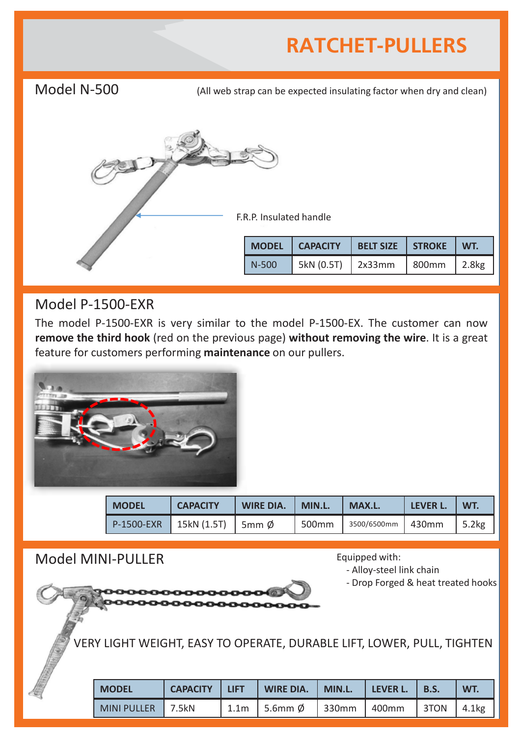# **NATCHET-PULLERS RATCHET-PULLERS**

| Model N-500 | (All web strap can be expected insulating factor when dry and clean) |                 |                  |               |       |
|-------------|----------------------------------------------------------------------|-----------------|------------------|---------------|-------|
|             |                                                                      |                 |                  |               |       |
|             | F.R.P. Insulated handle                                              |                 |                  |               |       |
|             | <b>MODEL</b>                                                         | <b>CAPACITY</b> | <b>BELT SIZE</b> | <b>STROKE</b> | WT.   |
|             | $N-500$                                                              | 5kN (0.5T)      | 2x33mm           | 800mm         | 2.8kg |

#### Model P-1500-EXR

The model P-1500-EXR is very similar to the model P-1500-EX. The customer can now **remove the third hook** (red on the previous page) **without removing the wire**. It is a great feature for customers performing **maintenance** on our pullers.



| <b>MODEL</b> | <b>CAPACITY</b>                       | <b>WIRE DIA.</b> | MIN.L. | MAX.L.              | LEVER L. | WT.   |
|--------------|---------------------------------------|------------------|--------|---------------------|----------|-------|
|              | P-1500-EXR   15kN (1.5T)   5mm $\phi$ |                  | 500mm  | 3500/6500mm   430mm |          | 5.2kg |

Model MINI-PULLER Equipped with:

- Alloy-steel link chain

- Drop Forged & heat treated hooks

VERY LIGHT WEIGHT, EASY TO OPERATE, DURABLE LIFT, LOWER, PULL, TIGHTEN

| <b>MODEL</b>       | <b>CAPACITY</b> | <b>LIFT</b> | <b>WIRE DIA.</b>    | MIN.L. | <b>LEVER L.</b> | <b>B.S.</b> | WT.   |
|--------------------|-----------------|-------------|---------------------|--------|-----------------|-------------|-------|
| <b>MINI PULLER</b> | 7.5kN           |             | 1.1m   5.6mm $\phi$ | 330mm  | 400mm           | 3TON        | 4.1kg |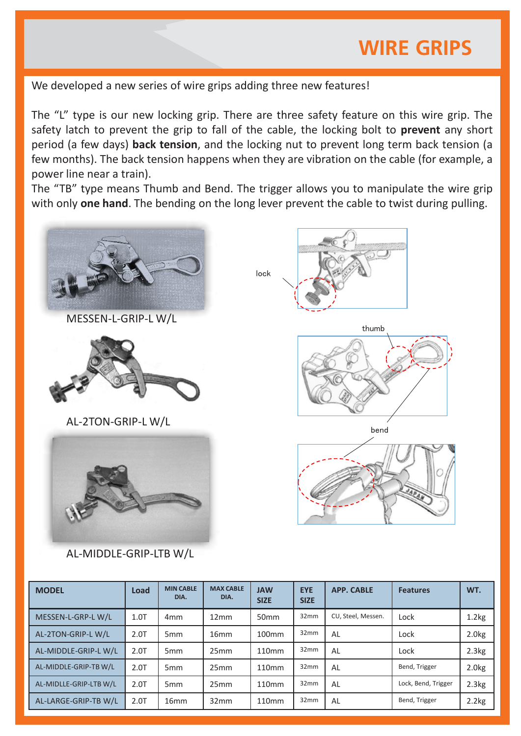# **WIRE GRIPS**

We developed a new series of wire grips adding three new features!

**NAGAKI** WIRE GRIPS

The "L" type is our new locking grip. There are three safety feature on this wire grip. The safety latch to prevent the grip to fall of the cable, the locking bolt to **prevent** any short period (a few days) **back tension**, and the locking nut to prevent long term back tension (a few months). The back tension happens when they are vibration on the cable (for example, a power line near a train).

The "TB" type means Thumb and Bend. The trigger allows you to manipulate the wire grip with only **one hand**. The bending on the long lever prevent the cable to twist during pulling.



MESSEN-L-GRIP-L W/L



AL-2TON-GRIP-L W/L



AL-MIDDLE-GRIP-LTB W/L

**lock** 







| <b>MODEL</b>           | Load | <b>MIN CABLE</b><br>DIA. | <b>MAX CABLE</b><br>DIA. | <b>JAW</b><br><b>SIZE</b> | <b>EYE</b><br><b>SIZE</b> | <b>APP. CABLE</b>  | <b>Features</b>     | WT.   |
|------------------------|------|--------------------------|--------------------------|---------------------------|---------------------------|--------------------|---------------------|-------|
| MESSEN-L-GRP-LW/L      | 1.0T | 4 <sub>mm</sub>          | 12mm                     | 50 <sub>mm</sub>          | 32mm                      | CU, Steel, Messen. | Lock                | 1.2kg |
| AL-2TON-GRIP-LW/L      | 2.0T | 5 <sub>mm</sub>          | 16 <sub>mm</sub>         | 100 <sub>mm</sub>         | 32mm                      | AL                 | Lock                | 2.0kg |
| AL-MIDDLE-GRIP-LW/L    | 2.0T | 5 <sub>mm</sub>          | 25mm                     | 110 <sub>mm</sub>         | 32mm                      | AL                 | Lock                | 2.3kg |
| AL-MIDDLE-GRIP-TB W/L  | 2.0T | 5 <sub>mm</sub>          | 25mm                     | 110 <sub>mm</sub>         | 32mm                      | AL                 | Bend, Trigger       | 2.0kg |
| AL-MIDLLE-GRIP-LTB W/L | 2.0T | 5 <sub>mm</sub>          | 25mm                     | 110 <sub>mm</sub>         | 32mm                      | AL                 | Lock, Bend, Trigger | 2.3kg |
| AL-LARGE-GRIP-TB W/L   | 2.0T | 16 <sub>mm</sub>         | 32mm                     | 110 <sub>mm</sub>         | 32mm                      | AL                 | Bend, Trigger       | 2.2kg |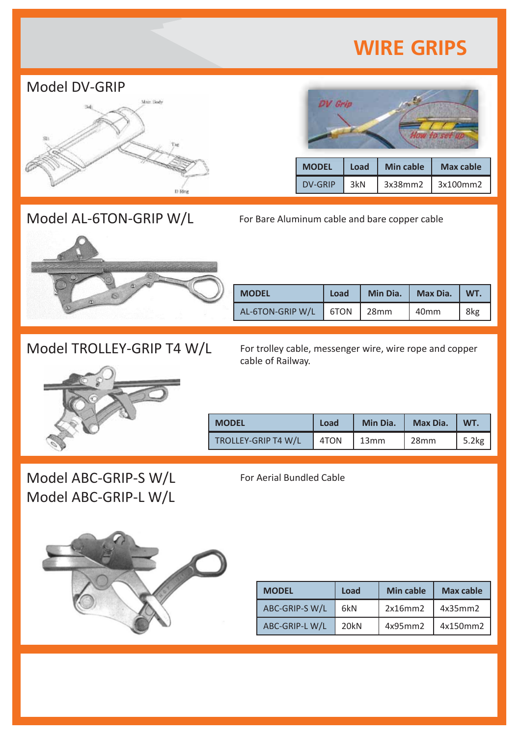# **NAGAKI** WIRE GRIPS **WIRE GRIPS WIRE GRIPS**



| DV Grip        |             |                  |                  |
|----------------|-------------|------------------|------------------|
| <b>MODEL</b>   | <b>Load</b> | <b>Min cable</b> | <b>Max cable</b> |
| <b>DV-GRIP</b> | 3kN         | 3x38mm2          | 3x100mm2         |
|                |             |                  |                  |

#### Model AL-6TON-GRIP W/L

For Bare Aluminum cable and bare copper cable



| <b>MODEL</b>            | Load | Min Dia. | Max Dia. $\vert$ WT. |     |
|-------------------------|------|----------|----------------------|-----|
| AL-6TON-GRIP W/L   6TON |      | 128mm    | 40 <sub>mm</sub>     | 8kg |

For trolley cable, messenger wire, wire rope and copper

Model TROLLEY-GRIP T4 W/L



| <b>MODEL</b>        | Load                      | Min Dia.   Max Dia. | WT.   |
|---------------------|---------------------------|---------------------|-------|
| TROLLEY-GRIP T4 W/L | $\vert$ 4TON $\vert$ 13mm | $\vert$ 28mm        | 5.2kg |

Model ABC-GRIP-S W/L Model ABC-GRIP-L W/L

For Aerial Bundled Cable

cable of Railway.



| <b>MODEL</b>   | Load             | <b>Min cable</b> | <b>Max cable</b> |
|----------------|------------------|------------------|------------------|
| ABC-GRIP-S W/L | 6kN              | 2x16mm2          | 4x35mm2          |
| ABC-GRIP-LW/L  | 20 <sub>kN</sub> | 4x95mm2          | 4x150mm2         |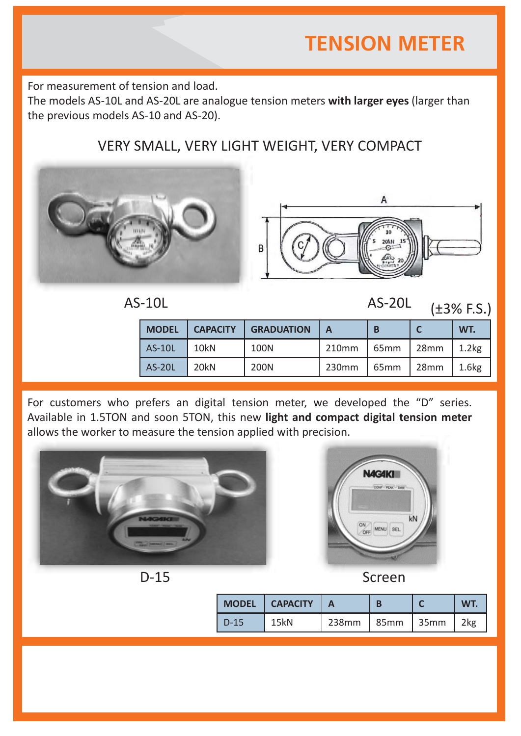# **NAGA KING SERIES DE TENSION METER WIRE GRIPS TENSION METER**

For measurement of tension and load.

The models AS-10L and AS-20L are analogue tension meters **with larger eyes** (larger than the previous models AS-10 and AS-20).

#### VERY SMALL, VERY LIGHT WEIGHT, VERY COMPACT





AS-10L AS-20L

 $(\pm 3\%$  F.S.)

| <b>MODEL</b>  | <b>CAPACITY</b>  | <b>GRADUATION</b> | Α                 | B    |      | WT.               |
|---------------|------------------|-------------------|-------------------|------|------|-------------------|
| <b>AS-10L</b> | 10 <sub>kN</sub> | 100N              | 210mm             | 65mm | 28mm | 1.2kg             |
| <b>AS-20L</b> | 20 <sub>kN</sub> | 200N              | 230 <sub>mm</sub> | 65mm | 28mm | 1.6 <sub>kg</sub> |

For customers who prefers an digital tension meter, we developed the "D" series. Available in 1.5TON and soon 5TON, this new **light and compact digital tension meter** allows the worker to measure the tension applied with precision.







D-15 Screen

| MODEL  | <b>CAPACITY</b> |       |               | <b>WT</b> |
|--------|-----------------|-------|---------------|-----------|
| $D-15$ |                 | 238mm | $85mm$   35mm | 2kg       |